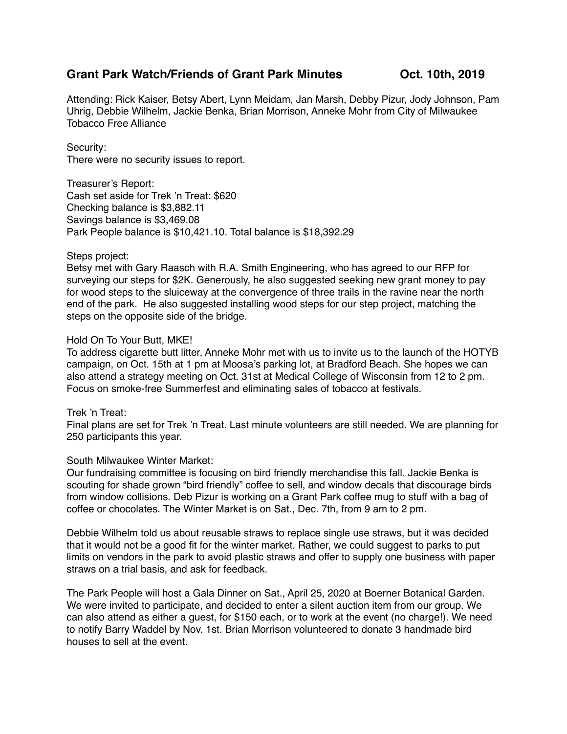# **Grant Park Watch/Friends of Grant Park Minutes Oct. 10th, 2019**

Attending: Rick Kaiser, Betsy Abert, Lynn Meidam, Jan Marsh, Debby Pizur, Jody Johnson, Pam Uhrig, Debbie Wilhelm, Jackie Benka, Brian Morrison, Anneke Mohr from City of Milwaukee Tobacco Free Alliance

### Security:

There were no security issues to report.

Treasurer's Report: Cash set aside for Trek 'n Treat: \$620 Checking balance is \$3,882.11 Savings balance is \$3,469.08 Park People balance is \$10,421.10. Total balance is \$18,392.29

### Steps project:

Betsy met with Gary Raasch with R.A. Smith Engineering, who has agreed to our RFP for surveying our steps for \$2K. Generously, he also suggested seeking new grant money to pay for wood steps to the sluiceway at the convergence of three trails in the ravine near the north end of the park. He also suggested installing wood steps for our step project, matching the steps on the opposite side of the bridge.

### Hold On To Your Butt, MKE!

To address cigarette butt litter, Anneke Mohr met with us to invite us to the launch of the HOTYB campaign, on Oct. 15th at 1 pm at Moosa's parking lot, at Bradford Beach. She hopes we can also attend a strategy meeting on Oct. 31st at Medical College of Wisconsin from 12 to 2 pm. Focus on smoke-free Summerfest and eliminating sales of tobacco at festivals.

## Trek 'n Treat:

Final plans are set for Trek 'n Treat. Last minute volunteers are still needed. We are planning for 250 participants this year.

## South Milwaukee Winter Market:

Our fundraising committee is focusing on bird friendly merchandise this fall. Jackie Benka is scouting for shade grown "bird friendly" coffee to sell, and window decals that discourage birds from window collisions. Deb Pizur is working on a Grant Park coffee mug to stuff with a bag of coffee or chocolates. The Winter Market is on Sat., Dec. 7th, from 9 am to 2 pm.

Debbie Wilhelm told us about reusable straws to replace single use straws, but it was decided that it would not be a good fit for the winter market. Rather, we could suggest to parks to put limits on vendors in the park to avoid plastic straws and offer to supply one business with paper straws on a trial basis, and ask for feedback.

The Park People will host a Gala Dinner on Sat., April 25, 2020 at Boerner Botanical Garden. We were invited to participate, and decided to enter a silent auction item from our group. We can also attend as either a guest, for \$150 each, or to work at the event (no charge!). We need to notify Barry Waddel by Nov. 1st. Brian Morrison volunteered to donate 3 handmade bird houses to sell at the event.